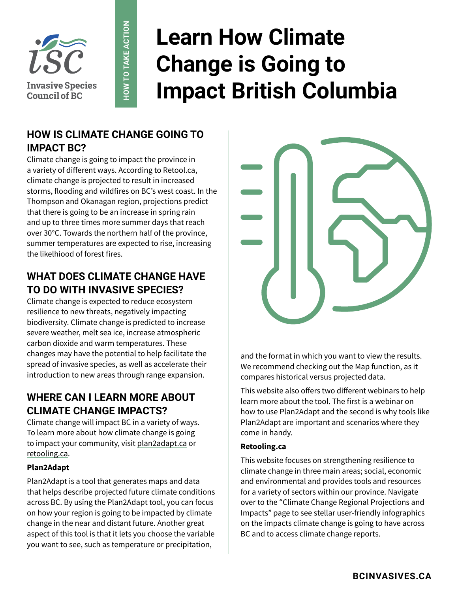

# **Learn How Climate Change is Going to Impact British Columbia**

# **HOW IS CLIMATE CHANGE GOING TO IMPACT BC?**

**HOW TO TAKE ACTION**

HOW TO TAKE ACTION

Climate change is going to impact the province in a variety of different ways. According to Retool.ca, climate change is projected to result in increased storms, flooding and wildfires on BC's west coast. In the Thompson and Okanagan region, projections predict that there is going to be an increase in spring rain and up to three times more summer days that reach over 30°C. Towards the northern half of the province, summer temperatures are expected to rise, increasing the likelhiood of forest fires.

# **WHAT DOES CLIMATE CHANGE HAVE TO DO WITH INVASIVE SPECIES?**

Climate change is expected to reduce ecosystem resilience to new threats, negatively impacting biodiversity. Climate change is predicted to increase severe weather, melt sea ice, increase atmospheric carbon dioxide and warm temperatures. These changes may have the potential to help facilitate the spread of invasive species, as well as accelerate their introduction to new areas through range expansion.

# **WHERE CAN I LEARN MORE ABOUT CLIMATE CHANGE IMPACTS?**

Climate change will impact BC in a variety of ways. To learn more about how climate change is going to impact your community, visit [plan2adapt.ca](http://plan2adapt.ca) or [retooling.ca.](http://retooling.ca)

#### **Plan2Adapt**

Plan2Adapt is a tool that generates maps and data that helps describe projected future climate conditions across BC. By using the Plan2Adapt tool, you can focus on how your region is going to be impacted by climate change in the near and distant future. Another great aspect of this tool is that it lets you choose the variable you want to see, such as temperature or precipitation,



and the format in which you want to view the results. We recommend checking out the Map function, as it compares historical versus projected data.

This website also offers two different webinars to help learn more about the tool. The first is a webinar on how to use Plan2Adapt and the second is why tools like Plan2Adapt are important and scenarios where they come in handy.

#### **Retooling.ca**

This website focuses on strengthening resilience to climate change in three main areas; social, economic and environmental and provides tools and resources for a variety of sectors within our province. Navigate over to the "Climate Change Regional Projections and Impacts" page to see stellar user-friendly infographics on the impacts climate change is going to have across BC and to access climate change reports.